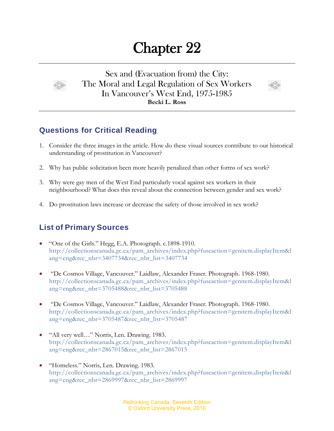## Chapter 22



Sex and (Evacuation from) the City: The Moral and Legal Regulation of Sex Workers In Vancouver's West End, 1975-1985 **Becki L. Ross**



## **Questions for Critical Reading**

- 1. Consider the three images in the article. How do these visual sources contribute to our historical understanding of prostitution in Vancouver?
- 2. Why has public solicitation been more heavily penalized than other forms of sex work?
- 3. Why were gay men of the West End particularly vocal against sex workers in their neighbourhood? What does this reveal about the connection between gender and sex work?
- 4. Do prostitution laws increase or decrease the safety of those involved in sex work?

## **List of Primary Sources**

- "One of the Girls." Hegg, E.A. Photograph. c.1898-1910. [http://collectionscanada.gc.ca/pam\\_archives/index.php?fuseaction=genitem.displayItem&l](http://collectionscanada.gc.ca/pam_archives/index.php?fuseaction=genitem.displayItem&lang=eng&rec_nbr=3407734&rec_nbr_list=3407734) [ang=eng&rec\\_nbr=3407734&rec\\_nbr\\_list=3407734](http://collectionscanada.gc.ca/pam_archives/index.php?fuseaction=genitem.displayItem&lang=eng&rec_nbr=3407734&rec_nbr_list=3407734)
- "De Cosmos Village, Vancouver." Laidlaw, Alexander Fraser. Photograph. 1968-1980. [http://collectionscanada.gc.ca/pam\\_archives/index.php?fuseaction=genitem.displayItem&l](http://collectionscanada.gc.ca/pam_archives/index.php?fuseaction=genitem.displayItem&lang=eng&rec_nbr=3705488&rec_nbr_list=3705488) [ang=eng&rec\\_nbr=3705488&rec\\_nbr\\_list=3705488](http://collectionscanada.gc.ca/pam_archives/index.php?fuseaction=genitem.displayItem&lang=eng&rec_nbr=3705488&rec_nbr_list=3705488)
- "De Cosmos Village, Vancouver." Laidlaw, Alexander Fraser. Photograph. 1968-1980. [http://collectionscanada.gc.ca/pam\\_archives/index.php?fuseaction=genitem.displayItem&l](http://collectionscanada.gc.ca/pam_archives/index.php?fuseaction=genitem.displayItem&lang=eng&rec_nbr=3705487&rec_nbr_list=3705487) [ang=eng&rec\\_nbr=3705487&rec\\_nbr\\_list=3705487](http://collectionscanada.gc.ca/pam_archives/index.php?fuseaction=genitem.displayItem&lang=eng&rec_nbr=3705487&rec_nbr_list=3705487)
- "All very well…" Norris, Len. Drawing. 1983. [http://collectionscanada.gc.ca/pam\\_archives/index.php?fuseaction=genitem.displayItem&l](http://collectionscanada.gc.ca/pam_archives/index.php?fuseaction=genitem.displayItem&lang=eng&rec_nbr=2867015&rec_nbr_list=2867015) [ang=eng&rec\\_nbr=2867015&rec\\_nbr\\_list=2867015](http://collectionscanada.gc.ca/pam_archives/index.php?fuseaction=genitem.displayItem&lang=eng&rec_nbr=2867015&rec_nbr_list=2867015)
- "Homeless." Norris, Len. Drawing. 1983. [http://collectionscanada.gc.ca/pam\\_archives/index.php?fuseaction=genitem.displayItem&l](http://collectionscanada.gc.ca/pam_archives/index.php?fuseaction=genitem.displayItem&lang=eng&rec_nbr=2869997&rec_nbr_list=2869997) [ang=eng&rec\\_nbr=2869997&rec\\_nbr\\_list=2869997](http://collectionscanada.gc.ca/pam_archives/index.php?fuseaction=genitem.displayItem&lang=eng&rec_nbr=2869997&rec_nbr_list=2869997)

Rethinking Canada, Seventh Edition © Oxford University Press, 2016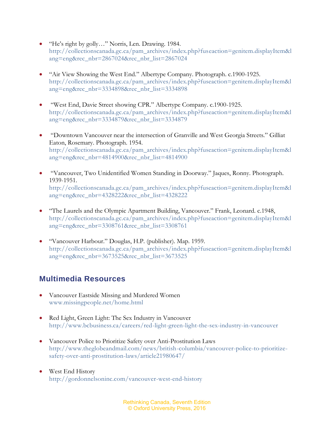- "He's right by golly…" Norris, Len. Drawing. 1984. [http://collectionscanada.gc.ca/pam\\_archives/index.php?fuseaction=genitem.displayItem&l](http://collectionscanada.gc.ca/pam_archives/index.php?fuseaction=genitem.displayItem&lang=eng&rec_nbr=2867024&rec_nbr_list=2867024) [ang=eng&rec\\_nbr=2867024&rec\\_nbr\\_list=2867024](http://collectionscanada.gc.ca/pam_archives/index.php?fuseaction=genitem.displayItem&lang=eng&rec_nbr=2867024&rec_nbr_list=2867024)
- "Air View Showing the West End." Albertype Company. Photograph. c.1900-1925. [http://collectionscanada.gc.ca/pam\\_archives/index.php?fuseaction=genitem.displayItem&l](http://collectionscanada.gc.ca/pam_archives/index.php?fuseaction=genitem.displayItem&lang=eng&rec_nbr=3334898&rec_nbr_list=3334898) [ang=eng&rec\\_nbr=3334898&rec\\_nbr\\_list=3334898](http://collectionscanada.gc.ca/pam_archives/index.php?fuseaction=genitem.displayItem&lang=eng&rec_nbr=3334898&rec_nbr_list=3334898)
- "West End, Davie Street showing CPR." Albertype Company. c.1900-1925. [http://collectionscanada.gc.ca/pam\\_archives/index.php?fuseaction=genitem.displayItem&l](http://collectionscanada.gc.ca/pam_archives/index.php?fuseaction=genitem.displayItem&lang=eng&rec_nbr=3334879&rec_nbr_list=3334879) [ang=eng&rec\\_nbr=3334879&rec\\_nbr\\_list=3334879](http://collectionscanada.gc.ca/pam_archives/index.php?fuseaction=genitem.displayItem&lang=eng&rec_nbr=3334879&rec_nbr_list=3334879)
- "Downtown Vancouver near the intersection of Granville and West Georgia Streets." Gilliat Eaton, Rosemary. Photograph. 1954. [http://collectionscanada.gc.ca/pam\\_archives/index.php?fuseaction=genitem.displayItem&l](http://collectionscanada.gc.ca/pam_archives/index.php?fuseaction=genitem.displayItem&lang=eng&rec_nbr=4814900&rec_nbr_list=4814900) [ang=eng&rec\\_nbr=4814900&rec\\_nbr\\_list=4814900](http://collectionscanada.gc.ca/pam_archives/index.php?fuseaction=genitem.displayItem&lang=eng&rec_nbr=4814900&rec_nbr_list=4814900)
- "Vancouver, Two Unidentified Women Standing in Doorway." Jaques, Ronny. Photograph. 1939-1951. [http://collectionscanada.gc.ca/pam\\_archives/index.php?fuseaction=genitem.displayItem&l](http://collectionscanada.gc.ca/pam_archives/index.php?fuseaction=genitem.displayItem&lang=eng&rec_nbr=4328222&rec_nbr_list=4328222) [ang=eng&rec\\_nbr=4328222&rec\\_nbr\\_list=4328222](http://collectionscanada.gc.ca/pam_archives/index.php?fuseaction=genitem.displayItem&lang=eng&rec_nbr=4328222&rec_nbr_list=4328222)
- "The Laurels and the Olympic Apartment Building, Vancouver." Frank, Leonard. c.1948, [http://collectionscanada.gc.ca/pam\\_archives/index.php?fuseaction=genitem.displayItem&l](http://collectionscanada.gc.ca/pam_archives/index.php?fuseaction=genitem.displayItem&lang=eng&rec_nbr=3308761&rec_nbr_list=3308761) [ang=eng&rec\\_nbr=3308761&rec\\_nbr\\_list=3308761](http://collectionscanada.gc.ca/pam_archives/index.php?fuseaction=genitem.displayItem&lang=eng&rec_nbr=3308761&rec_nbr_list=3308761)
- "Vancouver Harbour." Douglas, H.P. (publisher). Map. 1959. [http://collectionscanada.gc.ca/pam\\_archives/index.php?fuseaction=genitem.displayItem&l](http://collectionscanada.gc.ca/pam_archives/index.php?fuseaction=genitem.displayItem&lang=eng&rec_nbr=3673525&rec_nbr_list=3673525) [ang=eng&rec\\_nbr=3673525&rec\\_nbr\\_list=3673525](http://collectionscanada.gc.ca/pam_archives/index.php?fuseaction=genitem.displayItem&lang=eng&rec_nbr=3673525&rec_nbr_list=3673525)

## **Multimedia Resources**

- Vancouver Eastside Missing and Murdered Women [www.missingpeople.net/home.html](http://www.missingpeople.net/home.html)
- Red Light, Green Light: The Sex Industry in Vancouver <http://www.bcbusiness.ca/careers/red-light-green-light-the-sex-industry-in-vancouver>
- Vancouver Police to Prioritize Safety over Anti-Prostitution Laws [http://www.theglobeandmail.com/news/british-columbia/vancouver-police-to-prioritize](http://www.theglobeandmail.com/news/british-columbia/vancouver-police-to-prioritize-safety-over-anti-prostitution-laws/article21980647/)[safety-over-anti-prostitution-laws/article21980647/](http://www.theglobeandmail.com/news/british-columbia/vancouver-police-to-prioritize-safety-over-anti-prostitution-laws/article21980647/)
- West End History <http://gordonnelsoninc.com/vancouver-west-end-history>

Rethinking Canada, Seventh Edition © Oxford University Press, 2016